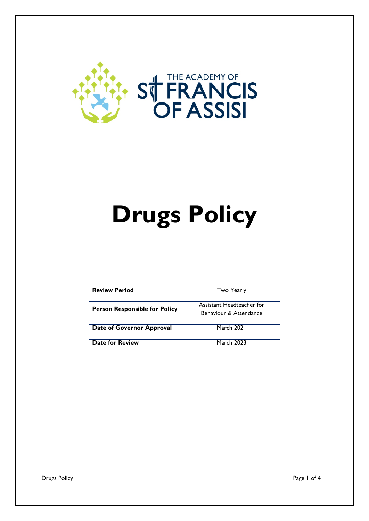

# **Drugs Policy**

| <b>Review Period</b>                 | <b>Two Yearly</b>                                   |
|--------------------------------------|-----------------------------------------------------|
| <b>Person Responsible for Policy</b> | Assistant Headteacher for<br>Behaviour & Attendance |
| Date of Governor Approval            | March 2021                                          |
| Date for Review                      | <b>March 2023</b>                                   |

Drugs Policy **Page 1 of 4**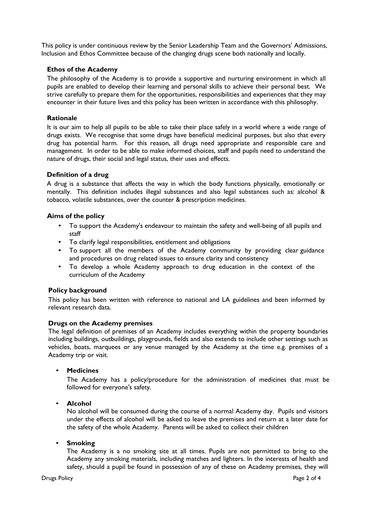This policy is under continuous review by the Senior Leadership Team and the Governors' Admissions, Inclusion and Ethos Committee because of the changing drugs scene both nationally and locally.

## **Ethos of the Academy**

The philosophy of the Academy is to provide a supportive and nurturing environment in which all pupils are enabled to develop their learning and personal skills to achieve their personal best. We strive carefully to prepare them for the opportunities, responsibilities and experiences that they may encounter in their future lives and this policy has been written in accordance with this philosophy.

#### **Rationale**

It is our aim to help all pupils to be able to take their place safely in a world where a wide range of drugs exists. We recognise that some drugs have beneficial medicinal purposes, but also that every drug has potential harm. For this reason, all drugs need appropriate and responsible care and management. In order to be able to make informed choices, staff and pupils need to understand the nature of drugs, their social and legal status, their uses and effects.

#### **Definition of a drug**

A drug is a substance that affects the way in which the body functions physically, emotionally or mentally. This definition includes illegal substances and also legal substances such as: alcohol & tobacco, volatile substances, over the counter & prescription medicines.

## **Aims of the policy**

- To support the Academy's endeavour to maintain the safety and well-being of all pupils and staff
- To clarify legal responsibilities, entitlement and obligations
- To support all the members of the Academy community by providing clear guidance and procedures on drug related issues to ensure clarity and consistency
- To develop a whole Academy approach to drug education in the context of the curriculum of the Academy

#### **Policy background**

This policy has been written with reference to national and LA guidelines and been informed by relevant research data.

# **Drugs on the Academy premises**

The legal definition of premises of an Academy includes everything within the property boundaries including buildings, outbuildings, playgrounds, fields and also extends to include other settings such as vehicles, boats, marquees or any venue managed by the Academy at the time e.g. premises of a Academy trip or visit.

#### • **Medicines**

The Academy has a policy/procedure for the administration of medicines that must be followed for everyone's safety.

#### • **Alcohol**

No alcohol will be consumed during the course of a normal Academy day. Pupils and visitors under the effects of alcohol will be asked to leave the premises and return at a later date for the safety of the whole Academy. Parents will be asked to collect their children

#### • **Smoking**

The Academy is a no smoking site at all times. Pupils are not permitted to bring to the Academy any smoking materials, including matches and lighters. In the interests of health and safety, should a pupil be found in possession of any of these on Academy premises, they will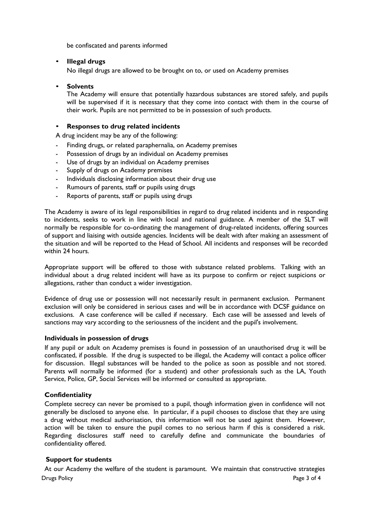be confiscated and parents informed

# • **Illegal drugs**

No illegal drugs are allowed to be brought on to, or used on Academy premises

## • **Solvents**

The Academy will ensure that potentially hazardous substances are stored safely, and pupils will be supervised if it is necessary that they come into contact with them in the course of their work. Pupils are not permitted to be in possession of such products.

## • **Responses to drug related incidents**

A drug incident may be any of the following:

- Finding drugs, or related paraphernalia, on Academy premises
- Possession of drugs by an individual on Academy premises
- Use of drugs by an individual on Academy premises
- Supply of drugs on Academy premises
- Individuals disclosing information about their drug use
- Rumours of parents, staff or pupils using drugs
- Reports of parents, staff or pupils using drugs

The Academy is aware of its legal responsibilities in regard to drug related incidents and in responding to incidents, seeks to work in line with local and national guidance. A member of the SLT will normally be responsible for co-ordinating the management of drug-related incidents, offering sources of support and liaising with outside agencies. Incidents will be dealt with after making an assessment of the situation and will be reported to the Head of School. All incidents and responses will be recorded within 24 hours.

Appropriate support will be offered to those with substance related problems. Talking with an individual about a drug related incident will have as its purpose to confirm or reject suspicions or allegations, rather than conduct a wider investigation.

Evidence of drug use or possession will not necessarily result in permanent exclusion. Permanent exclusion will only be considered in serious cases and will be in accordance with DCSF guidance on exclusions. A case conference will be called if necessary. Each case will be assessed and levels of sanctions may vary according to the seriousness of the incident and the pupil's involvement.

#### **Individuals in possession of drugs**

If any pupil or adult on Academy premises is found in possession of an unauthorised drug it will be confiscated, if possible. If the drug is suspected to be illegal, the Academy will contact a police officer for discussion. Illegal substances will be handed to the police as soon as possible and not stored. Parents will normally be informed (for a student) and other professionals such as the LA, Youth Service, Police, GP, Social Services will be informed or consulted as appropriate.

# **Confidentiality**

Complete secrecy can never be promised to a pupil, though information given in confidence will not generally be disclosed to anyone else. In particular, if a pupil chooses to disclose that they are using a drug without medical authorisation, this information will not be used against them. However, action will be taken to ensure the pupil comes to no serious harm if this is considered a risk. Regarding disclosures staff need to carefully define and communicate the boundaries of confidentiality offered.

# **Support for students**

Drugs Policy Page 3 of 4 At our Academy the welfare of the student is paramount. We maintain that constructive strategies